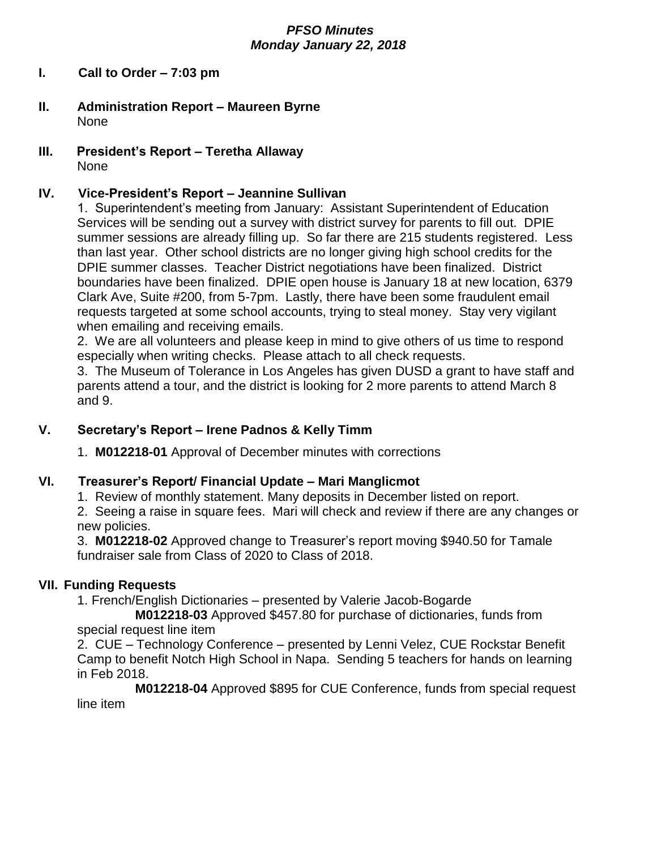### *PFSO Minutes Monday January 22, 2018*

#### **I. Call to Order – 7:03 pm**

- **II. Administration Report – Maureen Byrne** None
- **III. President's Report – Teretha Allaway** None

### **IV. Vice-President's Report – Jeannine Sullivan**

1. Superintendent's meeting from January: Assistant Superintendent of Education Services will be sending out a survey with district survey for parents to fill out. DPIE summer sessions are already filling up. So far there are 215 students registered. Less than last year. Other school districts are no longer giving high school credits for the DPIE summer classes. Teacher District negotiations have been finalized. District boundaries have been finalized. DPIE open house is January 18 at new location, 6379 Clark Ave, Suite #200, from 5-7pm. Lastly, there have been some fraudulent email requests targeted at some school accounts, trying to steal money. Stay very vigilant when emailing and receiving emails.

2. We are all volunteers and please keep in mind to give others of us time to respond especially when writing checks. Please attach to all check requests.

3. The Museum of Tolerance in Los Angeles has given DUSD a grant to have staff and parents attend a tour, and the district is looking for 2 more parents to attend March 8 and 9.

# **V. Secretary's Report – Irene Padnos & Kelly Timm**

1. **M012218-01** Approval of December minutes with corrections

# **VI. Treasurer's Report/ Financial Update – Mari Manglicmot**

1. Review of monthly statement. Many deposits in December listed on report.

2. Seeing a raise in square fees. Mari will check and review if there are any changes or new policies.

3. **M012218-02** Approved change to Treasurer's report moving \$940.50 for Tamale fundraiser sale from Class of 2020 to Class of 2018.

# **VII. Funding Requests**

1. French/English Dictionaries – presented by Valerie Jacob-Bogarde

**M012218-03** Approved \$457.80 for purchase of dictionaries, funds from special request line item

2. CUE – Technology Conference – presented by Lenni Velez, CUE Rockstar Benefit Camp to benefit Notch High School in Napa. Sending 5 teachers for hands on learning in Feb 2018.

**M012218-04** Approved \$895 for CUE Conference, funds from special request line item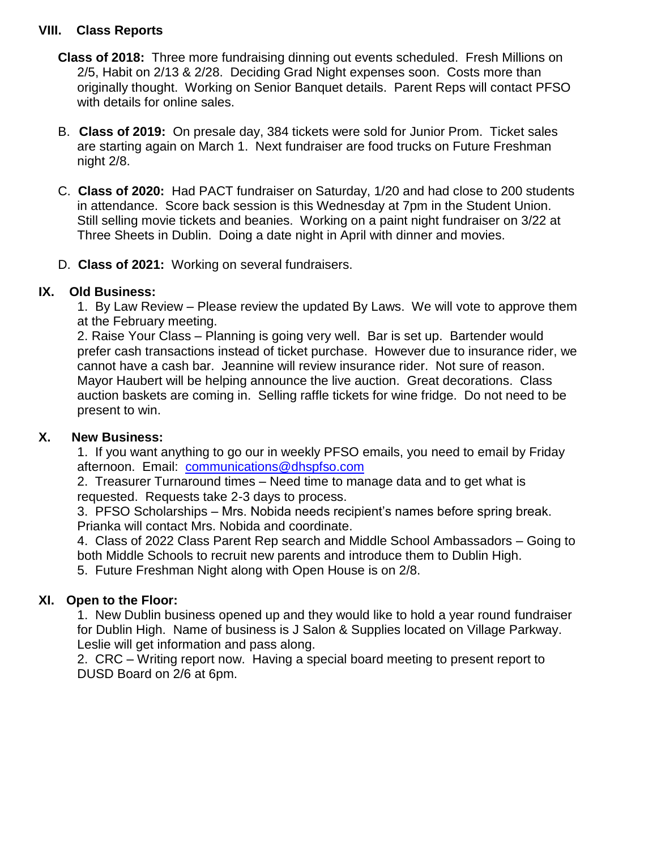### **VIII. Class Reports**

- **Class of 2018:** Three more fundraising dinning out events scheduled. Fresh Millions on 2/5, Habit on 2/13 & 2/28. Deciding Grad Night expenses soon. Costs more than originally thought. Working on Senior Banquet details. Parent Reps will contact PFSO with details for online sales.
- B. **Class of 2019:** On presale day, 384 tickets were sold for Junior Prom. Ticket sales are starting again on March 1. Next fundraiser are food trucks on Future Freshman night 2/8.
- C. **Class of 2020:** Had PACT fundraiser on Saturday, 1/20 and had close to 200 students in attendance. Score back session is this Wednesday at 7pm in the Student Union. Still selling movie tickets and beanies. Working on a paint night fundraiser on 3/22 at Three Sheets in Dublin. Doing a date night in April with dinner and movies.
- D. **Class of 2021:** Working on several fundraisers.

# **IX. Old Business:**

1. By Law Review – Please review the updated By Laws. We will vote to approve them at the February meeting.

2. Raise Your Class – Planning is going very well. Bar is set up. Bartender would prefer cash transactions instead of ticket purchase. However due to insurance rider, we cannot have a cash bar. Jeannine will review insurance rider. Not sure of reason. Mayor Haubert will be helping announce the live auction. Great decorations. Class auction baskets are coming in. Selling raffle tickets for wine fridge. Do not need to be present to win.

# **X. New Business:**

1.If you want anything to go our in weekly PFSO emails, you need to email by Friday afternoon. Email: [communications@dhspfso.com](mailto:communications@dhspfso.com)

2. Treasurer Turnaround times – Need time to manage data and to get what is requested. Requests take 2-3 days to process.

3. PFSO Scholarships – Mrs. Nobida needs recipient's names before spring break. Prianka will contact Mrs. Nobida and coordinate.

4. Class of 2022 Class Parent Rep search and Middle School Ambassadors – Going to both Middle Schools to recruit new parents and introduce them to Dublin High.

5. Future Freshman Night along with Open House is on 2/8.

# **XI. Open to the Floor:**

1. New Dublin business opened up and they would like to hold a year round fundraiser for Dublin High. Name of business is J Salon & Supplies located on Village Parkway. Leslie will get information and pass along.

2. CRC – Writing report now. Having a special board meeting to present report to DUSD Board on 2/6 at 6pm.